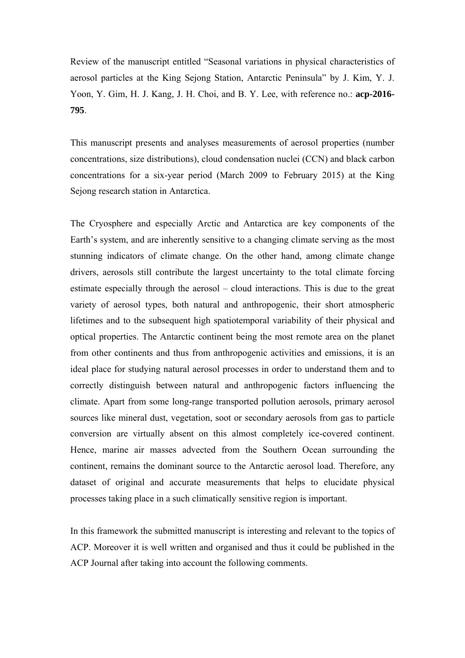Review of the manuscript entitled "Seasonal variations in physical characteristics of aerosol particles at the King Sejong Station, Antarctic Peninsula" by J. Kim, Y. J. Yoon, Y. Gim, H. J. Kang, J. H. Choi, and B. Y. Lee, with reference no.: **acp-2016- 795**.

This manuscript presents and analyses measurements of aerosol properties (number concentrations, size distributions), cloud condensation nuclei (CCN) and black carbon concentrations for a six-year period (March 2009 to February 2015) at the King Sejong research station in Antarctica.

The Cryosphere and especially Arctic and Antarctica are key components of the Earth's system, and are inherently sensitive to a changing climate serving as the most stunning indicators of climate change. On the other hand, among climate change drivers, aerosols still contribute the largest uncertainty to the total climate forcing estimate especially through the aerosol – cloud interactions. This is due to the great variety of aerosol types, both natural and anthropogenic, their short atmospheric lifetimes and to the subsequent high spatiotemporal variability of their physical and optical properties. The Antarctic continent being the most remote area on the planet from other continents and thus from anthropogenic activities and emissions, it is an ideal place for studying natural aerosol processes in order to understand them and to correctly distinguish between natural and anthropogenic factors influencing the climate. Apart from some long-range transported pollution aerosols, primary aerosol sources like mineral dust, vegetation, soot or secondary aerosols from gas to particle conversion are virtually absent on this almost completely ice-covered continent. Hence, marine air masses advected from the Southern Ocean surrounding the continent, remains the dominant source to the Antarctic aerosol load. Therefore, any dataset of original and accurate measurements that helps to elucidate physical processes taking place in a such climatically sensitive region is important.

In this framework the submitted manuscript is interesting and relevant to the topics of ACP. Moreover it is well written and organised and thus it could be published in the ACP Journal after taking into account the following comments.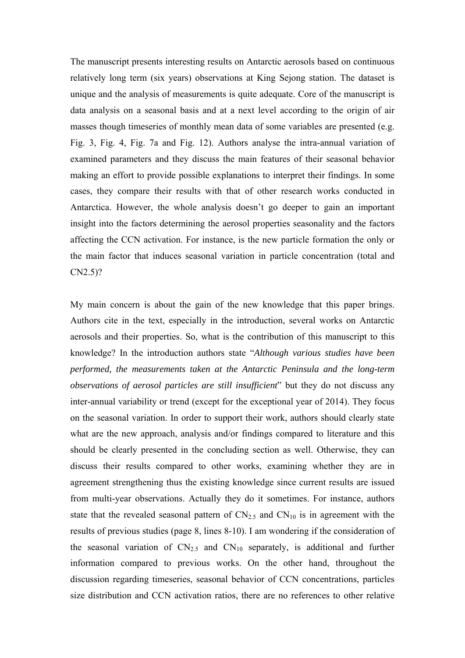The manuscript presents interesting results on Antarctic aerosols based on continuous relatively long term (six years) observations at King Sejong station. The dataset is unique and the analysis of measurements is quite adequate. Core of the manuscript is data analysis on a seasonal basis and at a next level according to the origin of air masses though timeseries of monthly mean data of some variables are presented (e.g. Fig. 3, Fig. 4, Fig. 7a and Fig. 12). Authors analyse the intra-annual variation of examined parameters and they discuss the main features of their seasonal behavior making an effort to provide possible explanations to interpret their findings. In some cases, they compare their results with that of other research works conducted in Antarctica. However, the whole analysis doesn't go deeper to gain an important insight into the factors determining the aerosol properties seasonality and the factors affecting the CCN activation. For instance, is the new particle formation the only or the main factor that induces seasonal variation in particle concentration (total and CN2.5)?

My main concern is about the gain of the new knowledge that this paper brings. Authors cite in the text, especially in the introduction, several works on Antarctic aerosols and their properties. So, what is the contribution of this manuscript to this knowledge? In the introduction authors state "*Although various studies have been performed, the measurements taken at the Antarctic Peninsula and the long-term observations of aerosol particles are still insufficient*" but they do not discuss any inter-annual variability or trend (except for the exceptional year of 2014). Τhey focus on the seasonal variation. In order to support their work, authors should clearly state what are the new approach, analysis and/or findings compared to literature and this should be clearly presented in the concluding section as well. Otherwise, they can discuss their results compared to other works, examining whether they are in agreement strengthening thus the existing knowledge since current results are issued from multi-year observations. Actually they do it sometimes. For instance, authors state that the revealed seasonal pattern of  $CN_{2.5}$  and  $CN_{10}$  is in agreement with the results of previous studies (page 8, lines 8-10). I am wondering if the consideration of the seasonal variation of  $CN_{2.5}$  and  $CN_{10}$  separately, is additional and further information compared to previous works. On the other hand, throughout the discussion regarding timeseries, seasonal behavior of CCN concentrations, particles size distribution and CCN activation ratios, there are no references to other relative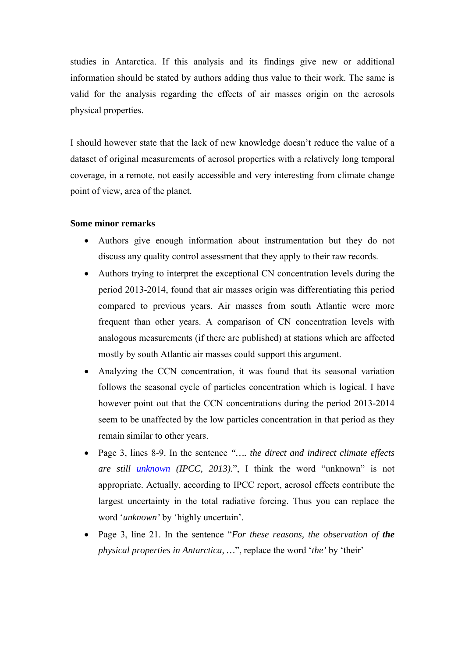studies in Antarctica. If this analysis and its findings give new or additional information should be stated by authors adding thus value to their work. The same is valid for the analysis regarding the effects of air masses origin on the aerosols physical properties.

I should however state that the lack of new knowledge doesn't reduce the value of a dataset of original measurements of aerosol properties with a relatively long temporal coverage, in a remote, not easily accessible and very interesting from climate change point of view, area of the planet.

## **Some minor remarks**

- Authors give enough information about instrumentation but they do not discuss any quality control assessment that they apply to their raw records.
- Authors trying to interpret the exceptional CN concentration levels during the period 2013-2014, found that air masses origin was differentiating this period compared to previous years. Air masses from south Atlantic were more frequent than other years. A comparison of CN concentration levels with analogous measurements (if there are published) at stations which are affected mostly by south Atlantic air masses could support this argument.
- Analyzing the CCN concentration, it was found that its seasonal variation follows the seasonal cycle of particles concentration which is logical. I have however point out that the CCN concentrations during the period 2013-2014 seem to be unaffected by the low particles concentration in that period as they remain similar to other years.
- Page 3, lines 8-9. In the sentence *"…. the direct and indirect climate effects are still unknown (IPCC, 2013).*", I think the word "unknown" is not appropriate. Actually, according to IPCC report, aerosol effects contribute the largest uncertainty in the total radiative forcing. Thus you can replace the word '*unknown'* by 'highly uncertain'.
- Page 3, line 21. In the sentence "*For these reasons, the observation of the physical properties in Antarctica, …*", replace the word '*the'* by 'their'